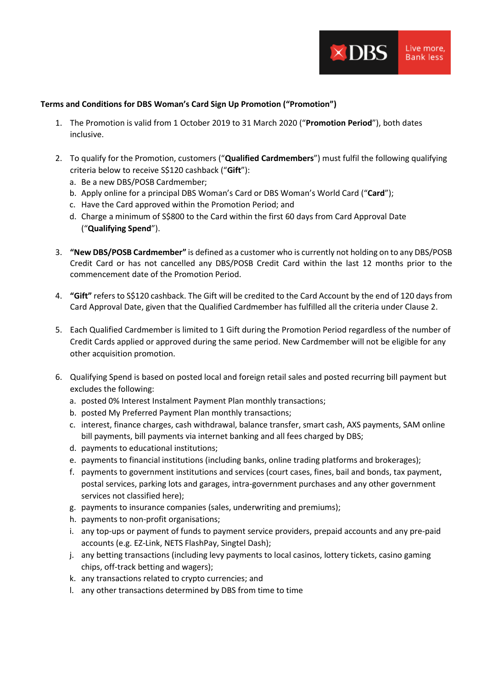

## **Terms and Conditions for DBS Woman's Card Sign Up Promotion ("Promotion")**

- 1. The Promotion is valid from 1 October 2019 to 31 March 2020 ("**Promotion Period**"), both dates inclusive.
- 2. To qualify for the Promotion, customers ("**Qualified Cardmembers**") must fulfil the following qualifying criteria below to receive S\$120 cashback ("**Gift**"):
	- a. Be a new DBS/POSB Cardmember;
	- b. Apply online for a principal DBS Woman's Card or DBS Woman's World Card ("**Card**");
	- c. Have the Card approved within the Promotion Period; and
	- d. Charge a minimum of S\$800 to the Card within the first 60 days from Card Approval Date ("**Qualifying Spend**").
- 3. **"New DBS/POSB Cardmember"** is defined as a customer who is currently not holding on to any DBS/POSB Credit Card or has not cancelled any DBS/POSB Credit Card within the last 12 months prior to the commencement date of the Promotion Period.
- 4. **"Gift"** refers to S\$120 cashback. The Gift will be credited to the Card Account by the end of 120 days from Card Approval Date, given that the Qualified Cardmember has fulfilled all the criteria under Clause 2.
- 5. Each Qualified Cardmember is limited to 1 Gift during the Promotion Period regardless of the number of Credit Cards applied or approved during the same period. New Cardmember will not be eligible for any other acquisition promotion.
- 6. Qualifying Spend is based on posted local and foreign retail sales and posted recurring bill payment but excludes the following:
	- a. posted 0% Interest Instalment Payment Plan monthly transactions;
	- b. posted My Preferred Payment Plan monthly transactions;
	- c. interest, finance charges, cash withdrawal, balance transfer, smart cash, AXS payments, SAM online bill payments, bill payments via internet banking and all fees charged by DBS;
	- d. payments to educational institutions;
	- e. payments to financial institutions (including banks, online trading platforms and brokerages);
	- f. payments to government institutions and services (court cases, fines, bail and bonds, tax payment, postal services, parking lots and garages, intra-government purchases and any other government services not classified here);
	- g. payments to insurance companies (sales, underwriting and premiums);
	- h. payments to non-profit organisations;
	- i. any top-ups or payment of funds to payment service providers, prepaid accounts and any pre-paid accounts (e.g. EZ-Link, NETS FlashPay, Singtel Dash);
	- j. any betting transactions (including levy payments to local casinos, lottery tickets, casino gaming chips, off-track betting and wagers);
	- k. any transactions related to crypto currencies; and
	- l. any other transactions determined by DBS from time to time